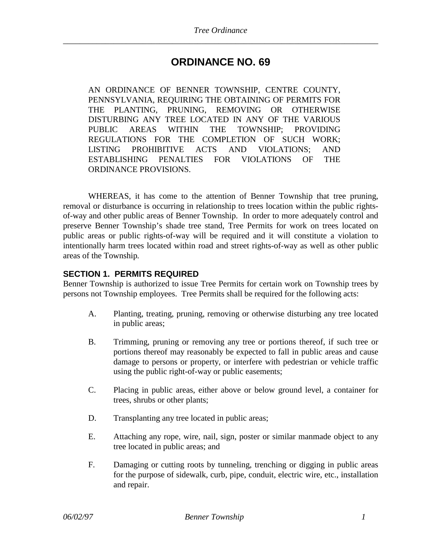# **ORDINANCE NO. 69**

AN ORDINANCE OF BENNER TOWNSHIP, CENTRE COUNTY, PENNSYLVANIA, REQUIRING THE OBTAINING OF PERMITS FOR THE PLANTING, PRUNING, REMOVING OR OTHERWISE DISTURBING ANY TREE LOCATED IN ANY OF THE VARIOUS PUBLIC AREAS WITHIN THE TOWNSHIP; PROVIDING REGULATIONS FOR THE COMPLETION OF SUCH WORK; LISTING PROHIBITIVE ACTS AND VIOLATIONS; AND ESTABLISHING PENALTIES FOR VIOLATIONS OF THE ORDINANCE PROVISIONS.

WHEREAS, it has come to the attention of Benner Township that tree pruning, removal or disturbance is occurring in relationship to trees location within the public rightsof-way and other public areas of Benner Township. In order to more adequately control and preserve Benner Township's shade tree stand, Tree Permits for work on trees located on public areas or public rights-of-way will be required and it will constitute a violation to intentionally harm trees located within road and street rights-of-way as well as other public areas of the Township*.*

### **SECTION 1. PERMITS REQUIRED**

Benner Township is authorized to issue Tree Permits for certain work on Township trees by persons not Township employees. Tree Permits shall be required for the following acts:

- A. Planting, treating, pruning, removing or otherwise disturbing any tree located in public areas;
- B. Trimming, pruning or removing any tree or portions thereof, if such tree or portions thereof may reasonably be expected to fall in public areas and cause damage to persons or property, or interfere with pedestrian or vehicle traffic using the public right-of-way or public easements;
- C. Placing in public areas, either above or below ground level, a container for trees, shrubs or other plants;
- D. Transplanting any tree located in public areas;
- E. Attaching any rope, wire, nail, sign, poster or similar manmade object to any tree located in public areas; and
- F. Damaging or cutting roots by tunneling, trenching or digging in public areas for the purpose of sidewalk, curb, pipe, conduit, electric wire, etc., installation and repair.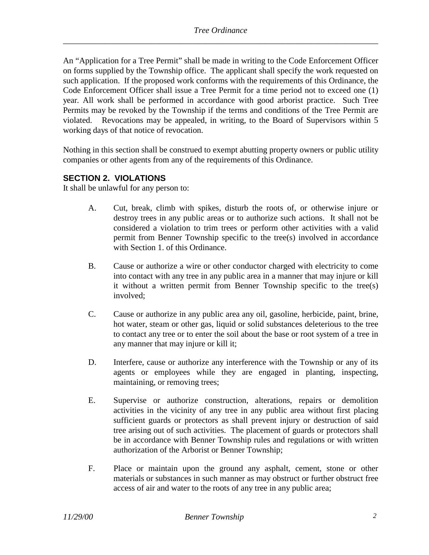An "Application for a Tree Permit" shall be made in writing to the Code Enforcement Officer on forms supplied by the Township office. The applicant shall specify the work requested on such application. If the proposed work conforms with the requirements of this Ordinance, the Code Enforcement Officer shall issue a Tree Permit for a time period not to exceed one (1) year*.* All work shall be performed in accordance with good arborist practice. Such Tree Permits may be revoked by the Township if the terms and conditions of the Tree Permit are violated. Revocations may be appealed, in writing, to the Board of Supervisors within 5 working days of that notice of revocation.

Nothing in this section shall be construed to exempt abutting property owners or public utility companies or other agents from any of the requirements of this Ordinance.

### **SECTION 2. VIOLATIONS**

It shall be unlawful for any person to:

- A. Cut, break, climb with spikes, disturb the roots of, or otherwise injure or destroy trees in any public areas or to authorize such actions. It shall not be considered a violation to trim trees or perform other activities with a valid permit from Benner Township specific to the tree(s) involved in accordance with Section 1. of this Ordinance.
- B. Cause or authorize a wire or other conductor charged with electricity to come into contact with any tree in any public area in a manner that may injure or kill it without a written permit from Benner Township specific to the tree(s) involved;
- C. Cause or authorize in any public area any oil, gasoline, herbicide, paint, brine, hot water, steam or other gas, liquid or solid substances deleterious to the tree to contact any tree or to enter the soil about the base or root system of a tree in any manner that may injure or kill it;
- D. Interfere, cause or authorize any interference with the Township or any of its agents or employees while they are engaged in planting, inspecting, maintaining, or removing trees;
- E. Supervise or authorize construction, alterations, repairs or demolition activities in the vicinity of any tree in any public area without first placing sufficient guards or protectors as shall prevent injury or destruction of said tree arising out of such activities. The placement of guards or protectors shall be in accordance with Benner Township rules and regulations or with written authorization of the Arborist or Benner Township;
- F. Place or maintain upon the ground any asphalt, cement, stone or other materials or substances in such manner as may obstruct or further obstruct free access of air and water to the roots of any tree in any public area;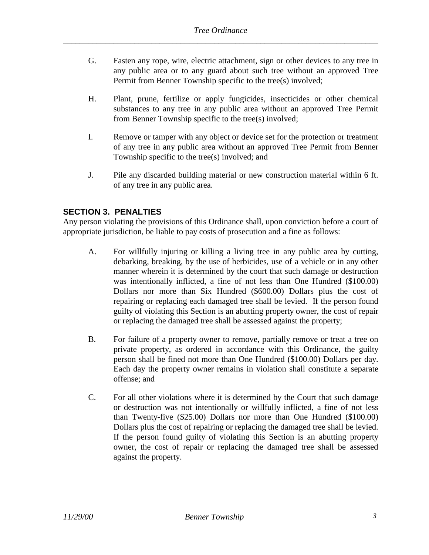- G. Fasten any rope, wire, electric attachment, sign or other devices to any tree in any public area or to any guard about such tree without an approved Tree Permit from Benner Township specific to the tree(s) involved;
- H. Plant, prune, fertilize or apply fungicides, insecticides or other chemical substances to any tree in any public area without an approved Tree Permit from Benner Township specific to the tree(s) involved;
- I. Remove or tamper with any object or device set for the protection or treatment of any tree in any public area without an approved Tree Permit from Benner Township specific to the tree(s) involved; and
- J. Pile any discarded building material or new construction material within 6 ft. of any tree in any public area.

## **SECTION 3. PENALTIES**

Any person violating the provisions of this Ordinance shall, upon conviction before a court of appropriate jurisdiction, be liable to pay costs of prosecution and a fine as follows:

- A. For willfully injuring or killing a living tree in any public area by cutting, debarking, breaking, by the use of herbicides, use of a vehicle or in any other manner wherein it is determined by the court that such damage or destruction was intentionally inflicted, a fine of not less than One Hundred (\$100.00) Dollars nor more than Six Hundred (\$600.00) Dollars plus the cost of repairing or replacing each damaged tree shall be levied. If the person found guilty of violating this Section is an abutting property owner, the cost of repair or replacing the damaged tree shall be assessed against the property;
- B. For failure of a property owner to remove, partially remove or treat a tree on private property, as ordered in accordance with this Ordinance, the guilty person shall be fined not more than One Hundred (\$100.00) Dollars per day. Each day the property owner remains in violation shall constitute a separate offense; and
- C. For all other violations where it is determined by the Court that such damage or destruction was not intentionally or willfully inflicted, a fine of not less than Twenty-five (\$25.00) Dollars nor more than One Hundred (\$100.00) Dollars plus the cost of repairing or replacing the damaged tree shall be levied. If the person found guilty of violating this Section is an abutting property owner, the cost of repair or replacing the damaged tree shall be assessed against the property.